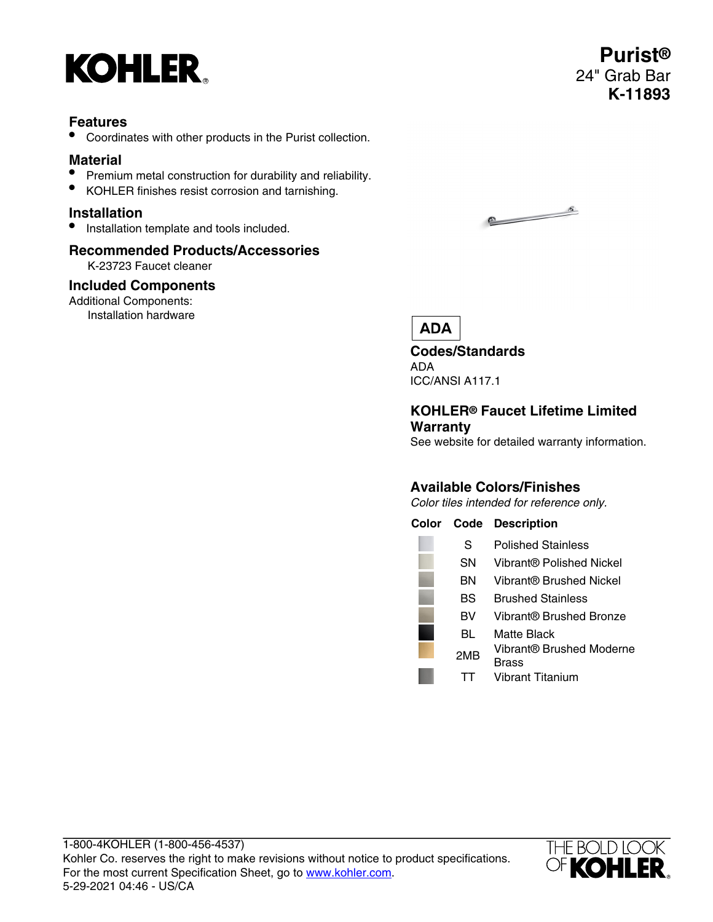

## **Features**

• Coordinates with other products in the Purist collection.

## **Material**

- Premium metal construction for durability and reliability.
- KOHLER finishes resist corrosion and tarnishing.

### **Installation**

• Installation template and tools included.

# **Recommended Products/Accessories**

K-23723 Faucet cleaner

### **Included Components**

Additional Components: Installation hardware

5-29-2021 04:46 - US/CA





# **ADA**

**Codes/Standards** ADA ICC/ANSI A117.1

### **KOHLER® Faucet Lifetime Limited Warranty**

See website for detailed warranty information.

# **Available Colors/Finishes**

Color tiles intended for reference only.